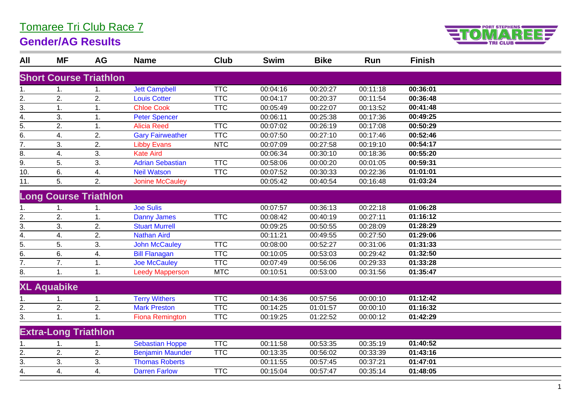## Tomaree Tri Club Race 7

## **Gender/AG Results**



| All              | <b>MF</b>                   | <b>AG</b>                     | <b>Name</b>             | <b>Club</b> | <b>Swim</b> | <b>Bike</b> | Run      | <b>Finish</b> |  |
|------------------|-----------------------------|-------------------------------|-------------------------|-------------|-------------|-------------|----------|---------------|--|
|                  |                             | <b>Short Course Triathlon</b> |                         |             |             |             |          |               |  |
|                  |                             |                               |                         |             |             |             |          |               |  |
| 1.               | 1.                          | 1.                            | <b>Jett Campbell</b>    | <b>TTC</b>  | 00:04:16    | 00:20:27    | 00:11:18 | 00:36:01      |  |
| $\frac{2}{3}$ .  | 2.                          | 2.                            | <b>Louis Cotter</b>     | <b>TTC</b>  | 00:04:17    | 00:20:37    | 00:11:54 | 00:36:48      |  |
|                  | 1.                          | 1.                            | <b>Chloe Cook</b>       | <b>TTC</b>  | 00:05:49    | 00:22:07    | 00:13:52 | 00:41:48      |  |
| 4.               | 3.                          | 1.                            | <b>Peter Spencer</b>    |             | 00:06:11    | 00:25:38    | 00:17:36 | 00:49:25      |  |
| $\overline{5}$ . | 2.                          | 1.                            | <b>Alicia Reed</b>      | <b>TTC</b>  | 00:07:02    | 00:26:19    | 00:17:08 | 00:50:29      |  |
| $\overline{6}$ . | 4.                          | 2.                            | <b>Gary Fairweather</b> | <b>TTC</b>  | 00:07:50    | 00:27:10    | 00:17:46 | 00:52:46      |  |
| $\overline{7}$ . | 3.                          | 2.                            | <b>Libby Evans</b>      | <b>NTC</b>  | 00:07:09    | 00:27:58    | 00:19:10 | 00:54:17      |  |
| 8.               | 4.                          | 3.                            | <b>Kate Aird</b>        |             | 00:06:34    | 00:30:10    | 00:18:36 | 00:55:20      |  |
| $\overline{9}$ . | 5.                          | 3.                            | <b>Adrian Sebastian</b> | <b>TTC</b>  | 00:58:06    | 00:00:20    | 00:01:05 | 00:59:31      |  |
| 10.              | 6.                          | 4.                            | <b>Neil Watson</b>      | <b>TTC</b>  | 00:07:52    | 00:30:33    | 00:22:36 | 01:01:01      |  |
| 11.              | 5.                          | 2.                            | <b>Jonine McCauley</b>  |             | 00:05:42    | 00:40:54    | 00:16:48 | 01:03:24      |  |
|                  |                             | <b>Long Course Triathlon</b>  |                         |             |             |             |          |               |  |
|                  | 1.                          |                               | <b>Joe Sulis</b>        |             | 00:07:57    | 00:36:13    | 00:22:18 | 01:06:28      |  |
|                  | 2.                          | 1.                            | <b>Danny James</b>      | <b>TTC</b>  | 00:08:42    | 00:40:19    | 00:27:11 | 01:16:12      |  |
| $\frac{2}{3}$ .  | 3.                          | 2.                            | <b>Stuart Murrell</b>   |             | 00:09:25    | 00:50:55    | 00:28:09 | 01:28:29      |  |
| $\overline{4}$ . | 4.                          | 2.                            | <b>Nathan Aird</b>      |             | 00:11:21    | 00:49:55    | 00:27:50 | 01:29:06      |  |
| $\frac{1}{5}$    | 5.                          | 3.                            | <b>John McCauley</b>    | <b>TTC</b>  | 00:08:00    | 00:52:27    | 00:31:06 | 01:31:33      |  |
| 6.               | 6.                          | 4.                            | <b>Bill Flanagan</b>    | <b>TTC</b>  | 00:10:05    | 00:53:03    | 00:29:42 | 01:32:50      |  |
| $\overline{7}$ . | 7.                          | 1.                            | <b>Joe McCauley</b>     | <b>TTC</b>  | 00:07:49    | 00:56:06    | 00:29:33 | 01:33:28      |  |
| 8.               | 1.                          | 1.                            | <b>Leedy Mapperson</b>  | <b>MTC</b>  | 00:10:51    | 00:53:00    | 00:31:56 | 01:35:47      |  |
|                  | <b>XL Aquabike</b>          |                               |                         |             |             |             |          |               |  |
|                  | 1.                          | 1.                            | <b>Terry Withers</b>    | <b>TTC</b>  | 00:14:36    | 00:57:56    | 00:00:10 | 01:12:42      |  |
| 2.               | 2.                          | 2.                            | <b>Mark Preston</b>     | <b>TTC</b>  | 00:14:25    | 01:01:57    | 00:00:10 | 01:16:32      |  |
| 3.               | 1.                          | 1.                            | <b>Fiona Remington</b>  | <b>TTC</b>  | 00:19:25    | 01:22:52    | 00:00:12 | 01:42:29      |  |
|                  | <b>Extra-Long Triathlon</b> |                               |                         |             |             |             |          |               |  |
|                  |                             | 1.                            | Sebastian Hoppe         | <b>TTC</b>  | 00:11:58    | 00:53:35    | 00:35:19 | 01:40:52      |  |
| $\overline{2}$ . | 2.                          | 2.                            | <b>Benjamin Maunder</b> | <b>TTC</b>  | 00:13:35    | 00:56:02    | 00:33:39 | 01:43:16      |  |
| 3.               | 3.                          | 3.                            | <b>Thomas Roberts</b>   |             | 00:11:55    | 00:57:45    | 00:37:21 | 01:47:01      |  |
| 4.               | 4.                          | 4.                            | <b>Darren Farlow</b>    | <b>TTC</b>  | 00:15:04    | 00:57:47    | 00:35:14 | 01:48:05      |  |